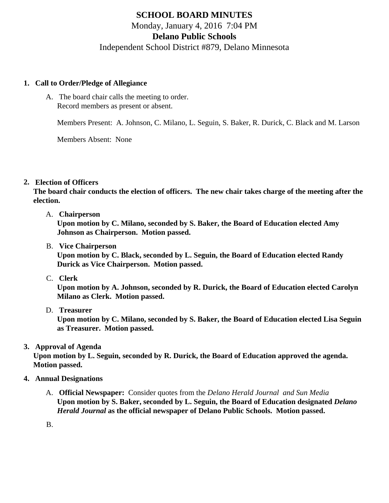# SCHOOL BOARD MINUTES Monday, January 4, 2016 7:04 PM Delano Public Schools Independent School District #879, Delano Minnesota

- 1. Call to Order/Pledge of Allegiance
	- A. The board chair calls the meeting to order. Record members as present or absent.

Members Present: A. Johnson, C. Milano, L. Seguin, S. Baker, R. Durick, C. Black and M. Larson

Members Absent: None

## 2. Election of Officers

The board chair conducts the election of officers. The new chair takes charge of the meeting after the election.

A. Chairperson

Upon motion by C. Milano, seconded by S. Baker, the Board of Education elected Amy Johnson as Chairperson. Motion passed.

B. Vice Chairperson

Upon motion by C. Black, seconded by L. Seguin, the Board of Education elected Randy Durick as Vice Chairperson. Motion passed.

C. Clerk

Upon motion by A. Johnson, seconded by R. Durick, the Board of Education elected Carolyn Milano as Clerk. Motion passed.

D. Treasurer

Upon motion by C. Milano, seconded by S. Baker, the Board of Education elected Lisa Seguin as Treasurer. Motion passed.

3. Approval of Agenda

Upon motion by L. Seguin, seconded by R. Durick, the Board of Education approved the agenda. Motion passed.

- 4. Annual Designations
	- A. Official Newspaper: Consider quotes from t[he Delano Herald Journa](/docs/district/District_Forms/DHJ_Legal_Publishing_Quote__2016.pdf)l and [Sun Media](/docs/district/District_Forms/Sun_Media_Legal_Publishing_Bid_2016.pdf) Upon motion by S. Baker, seconded by L. Seguin, the Board of Education designated ano Herald Journal as the official newspaper of Delano Public Schools. Motion passed.
	- B.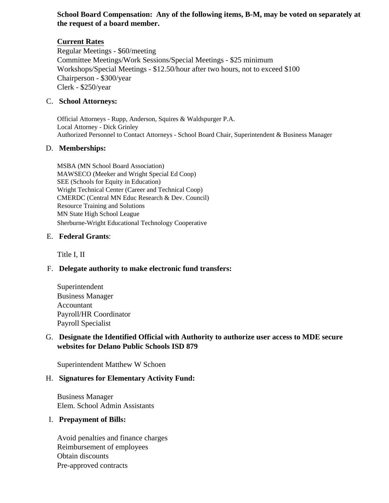### **School Board Compensation: Any of the following items, B-M, may be voted on separately at the request of a board member.**

## **Current Rates**

Regular Meetings - \$60/meeting Committee Meetings/Work Sessions/Special Meetings - \$25 minimum Workshops/Special Meetings *-* \$12.50/hour after two hours, not to exceed \$100 Chairperson - \$300/year Clerk - \$250/year

#### C. **School Attorneys:**

Official Attorneys - Rupp, Anderson, Squires & Waldspurger P.A. Local Attorney - Dick Grinley Authorized Personnel to Contact Attorneys - School Board Chair, Superintendent & Business Manager

#### D. **Memberships:**

MSBA (MN School Board Association) MAWSECO (Meeker and Wright Special Ed Coop) SEE (Schools for Equity in Education) Wright Technical Center (Career and Technical Coop) CMERDC (Central MN Educ Research & Dev. Council) Resource Training and Solutions MN State High School League Sherburne-Wright Educational Technology Cooperative

#### E. **Federal Grants**:

Title I, II

## F. **Delegate authority to make electronic fund transfers:**

Superintendent Business Manager Accountant Payroll/HR Coordinator Payroll Specialist

#### G. **Designate the Identified Official with Authority to authorize user access to MDE secure websites for Delano Public Schools ISD 879**

Superintendent Matthew W Schoen

#### H. **Signatures for Elementary Activity Fund:**

Business Manager Elem. School Admin Assistants

#### I. **Prepayment of Bills:**

Avoid penalties and finance charges Reimbursement of employees Obtain discounts Pre-approved contracts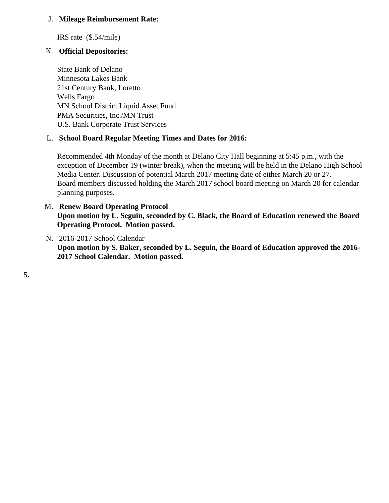J. Mileage Reimbursement Rate:

IRS rate (\$.54/mile)

K. Official Depositories:

State Bank of Delano Minnesota Lakes Bank 21st Century Bank, Loretto Wells Fargo MN School District Liquid Asset Fund PMA Securities, Inc./MN Trust U.S. Bank Corporate Trust Services

L. School Board Regular Meeting Times and Dates for 2016:

Recommended 4th Monday of the month at Delano City Hall beginning at 5:45 p.m., with the exception of December 19 (winter break), when the meeting will be held in the Delano High School Media Center. Discussion of potential March 2017 meeting date of either March 20 or 27. Board members discussed holding the March 2017 school board meeting on March 20 for calenda planning purposes.

- M. [Renew Board Operating Protoco](/docs/district/District_Forms/SB_Operating_Protocol.pdf)l Upon motion by L. Seguin, seconded by C. Black, the Board of Education renewed the Board Operating Protocol. Motion passed.
- N. [2016-2017 School Calend](/docs/district/District_Forms/2016-17_School_District_Calendar-FINAL.pdf)ar Upon motion by S. Baker, seconded by L. Seguin, the Board of Education approved the 2016- 2017 School Calendar. Motion passed.